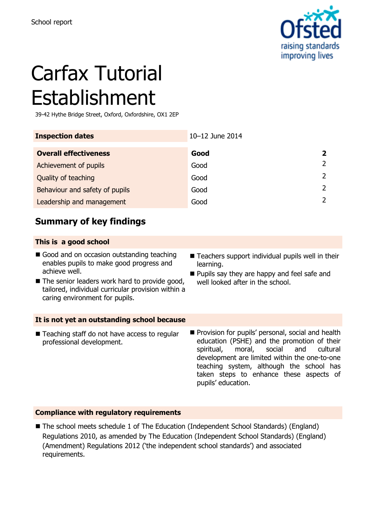

# Carfax Tutorial Establishment

39-42 Hythe Bridge Street, Oxford, Oxfordshire, OX1 2EP

| <b>Inspection dates</b>        | 10-12 June 2014 |                         |
|--------------------------------|-----------------|-------------------------|
| <b>Overall effectiveness</b>   | Good            | $\overline{\mathbf{z}}$ |
| Achievement of pupils          | Good            | $\mathcal{P}$           |
| Quality of teaching            | Good            | 2                       |
| Behaviour and safety of pupils | Good            | $\mathcal{P}$           |
| Leadership and management      | Good            | $\mathcal{L}$           |

## **Summary of key findings**

#### **This is a good school**

- Good and on occasion outstanding teaching enables pupils to make good progress and achieve well.
- The senior leaders work hard to provide good, tailored, individual curricular provision within a caring environment for pupils.
- **It is not yet an outstanding school because**
- Teaching staff do not have access to regular professional development.
- Teachers support individual pupils well in their learning.
- **Pupils say they are happy and feel safe and** well looked after in the school.
- **Provision for pupils' personal, social and health** education (PSHE) and the promotion of their spiritual, moral, social and cultural development are limited within the one-to-one teaching system, although the school has taken steps to enhance these aspects of pupils' education.

#### **Compliance with regulatory requirements**

■ The school meets schedule 1 of The Education (Independent School Standards) (England) Regulations 2010, as amended by The Education (Independent School Standards) (England) (Amendment) Regulations 2012 ('the independent school standards') and associated requirements.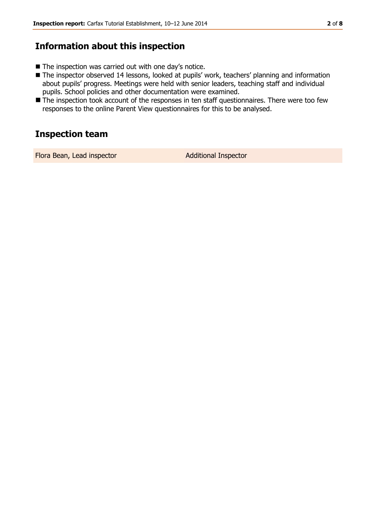#### **Information about this inspection**

- The inspection was carried out with one day's notice.
- The inspector observed 14 lessons, looked at pupils' work, teachers' planning and information about pupils' progress. Meetings were held with senior leaders, teaching staff and individual pupils. School policies and other documentation were examined.
- The inspection took account of the responses in ten staff questionnaires. There were too few responses to the online Parent View questionnaires for this to be analysed.

#### **Inspection team**

Flora Bean, Lead inspector **Additional Inspector**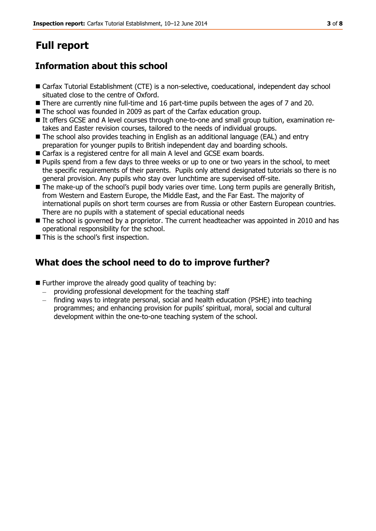## **Full report**

## **Information about this school**

- Carfax Tutorial Establishment (CTE) is a non-selective, coeducational, independent day school situated close to the centre of Oxford.
- **There are currently nine full-time and 16 part-time pupils between the ages of 7 and 20.**
- The school was founded in 2009 as part of the Carfax education group.
- It offers GCSE and A level courses through one-to-one and small group tuition, examination retakes and Easter revision courses, tailored to the needs of individual groups.
- The school also provides teaching in English as an additional language (EAL) and entry preparation for younger pupils to British independent day and boarding schools.
- Carfax is a registered centre for all main A level and GCSE exam boards.
- **Pupils spend from a few days to three weeks or up to one or two years in the school, to meet** the specific requirements of their parents. Pupils only attend designated tutorials so there is no general provision. Any pupils who stay over lunchtime are supervised off-site.
- The make-up of the school's pupil body varies over time. Long term pupils are generally British, from Western and Eastern Europe, the Middle East, and the Far East. The majority of international pupils on short term courses are from Russia or other Eastern European countries. There are no pupils with a statement of special educational needs
- The school is governed by a proprietor. The current headteacher was appointed in 2010 and has operational responsibility for the school.
- This is the school's first inspection.

## **What does the school need to do to improve further?**

- **Further improve the already good quality of teaching by:** 
	- providing professional development for the teaching staff
	- finding ways to integrate personal, social and health education (PSHE) into teaching programmes; and enhancing provision for pupils' spiritual, moral, social and cultural development within the one-to-one teaching system of the school.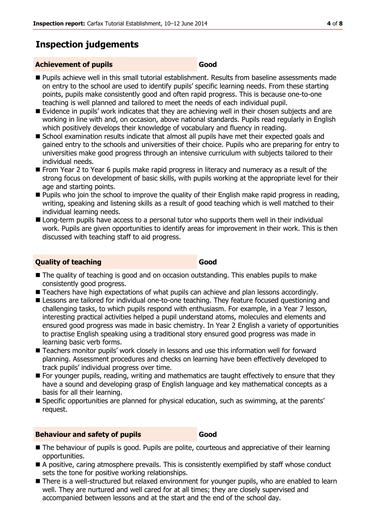## **Inspection judgements**

#### **Achievement of pupils Good**

- Pupils achieve well in this small tutorial establishment. Results from baseline assessments made on entry to the school are used to identify pupils' specific learning needs. From these starting points, pupils make consistently good and often rapid progress. This is because one-to-one teaching is well planned and tailored to meet the needs of each individual pupil.
- Evidence in pupils' work indicates that they are achieving well in their chosen subjects and are working in line with and, on occasion, above national standards. Pupils read regularly in English which positively develops their knowledge of vocabulary and fluency in reading.
- School examination results indicate that almost all pupils have met their expected goals and gained entry to the schools and universities of their choice. Pupils who are preparing for entry to universities make good progress through an intensive curriculum with subjects tailored to their individual needs.
- **From Year 2 to Year 6 pupils make rapid progress in literacy and numeracy as a result of the** strong focus on development of basic skills, with pupils working at the appropriate level for their age and starting points.
- **Pupils who join the school to improve the quality of their English make rapid progress in reading,** writing, speaking and listening skills as a result of good teaching which is well matched to their individual learning needs.
- Long-term pupils have access to a personal tutor who supports them well in their individual work. Pupils are given opportunities to identify areas for improvement in their work. This is then discussed with teaching staff to aid progress.

#### **Quality of teaching Good**

- $\blacksquare$  The quality of teaching is good and on occasion outstanding. This enables pupils to make consistently good progress.
- Teachers have high expectations of what pupils can achieve and plan lessons accordingly.
- **Lessons are tailored for individual one-to-one teaching. They feature focused questioning and** challenging tasks, to which pupils respond with enthusiasm. For example, in a Year 7 lesson, interesting practical activities helped a pupil understand atoms, molecules and elements and ensured good progress was made in basic chemistry. In Year 2 English a variety of opportunities to practise English speaking using a traditional story ensured good progress was made in learning basic verb forms.
- Teachers monitor pupils' work closely in lessons and use this information well for forward planning. Assessment procedures and checks on learning have been effectively developed to track pupils' individual progress over time.
- For younger pupils, reading, writing and mathematics are taught effectively to ensure that they have a sound and developing grasp of English language and key mathematical concepts as a basis for all their learning.
- Specific opportunities are planned for physical education, such as swimming, at the parents' request.

#### **Behaviour and safety of pupils <b>Good**

- The behaviour of pupils is good. Pupils are polite, courteous and appreciative of their learning opportunities.
- A positive, caring atmosphere prevails. This is consistently exemplified by staff whose conduct sets the tone for positive working relationships.
- There is a well-structured but relaxed environment for younger pupils, who are enabled to learn well. They are nurtured and well cared for at all times; they are closely supervised and accompanied between lessons and at the start and the end of the school day.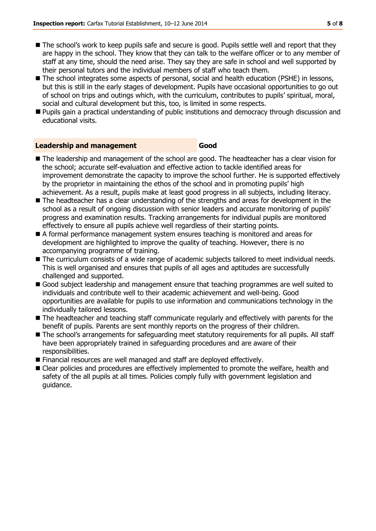- The school's work to keep pupils safe and secure is good. Pupils settle well and report that they are happy in the school. They know that they can talk to the welfare officer or to any member of staff at any time, should the need arise. They say they are safe in school and well supported by their personal tutors and the individual members of staff who teach them.
- The school integrates some aspects of personal, social and health education (PSHE) in lessons, but this is still in the early stages of development. Pupils have occasional opportunities to go out of school on trips and outings which, with the curriculum, contributes to pupils' spiritual, moral, social and cultural development but this, too, is limited in some respects.
- **Pupils gain a practical understanding of public institutions and democracy through discussion and** educational visits.

#### **Leadership and management Good**

- The leadership and management of the school are good. The headteacher has a clear vision for the school; accurate self-evaluation and effective action to tackle identified areas for improvement demonstrate the capacity to improve the school further. He is supported effectively by the proprietor in maintaining the ethos of the school and in promoting pupils' high achievement. As a result, pupils make at least good progress in all subjects, including literacy.
- The headteacher has a clear understanding of the strengths and areas for development in the school as a result of ongoing discussion with senior leaders and accurate monitoring of pupils' progress and examination results. Tracking arrangements for individual pupils are monitored effectively to ensure all pupils achieve well regardless of their starting points.
- A formal performance management system ensures teaching is monitored and areas for development are highlighted to improve the quality of teaching. However, there is no accompanying programme of training.
- The curriculum consists of a wide range of academic subjects tailored to meet individual needs. This is well organised and ensures that pupils of all ages and aptitudes are successfully challenged and supported.
- Good subject leadership and management ensure that teaching programmes are well suited to individuals and contribute well to their academic achievement and well-being. Good opportunities are available for pupils to use information and communications technology in the individually tailored lessons.
- The headteacher and teaching staff communicate regularly and effectively with parents for the benefit of pupils. Parents are sent monthly reports on the progress of their children.
- The school's arrangements for safeguarding meet statutory requirements for all pupils. All staff have been appropriately trained in safeguarding procedures and are aware of their responsibilities.
- Financial resources are well managed and staff are deployed effectively.
- Clear policies and procedures are effectively implemented to promote the welfare, health and safety of the all pupils at all times. Policies comply fully with government legislation and guidance.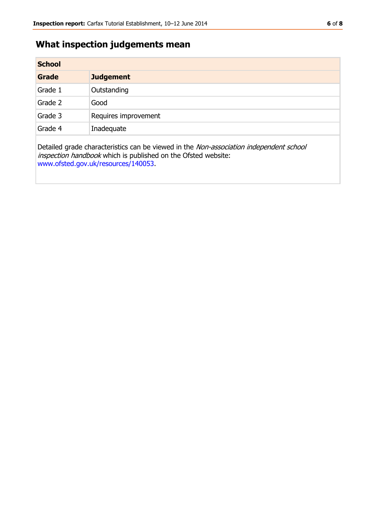## **What inspection judgements mean**

| <b>School</b> |                      |  |
|---------------|----------------------|--|
| Grade         | <b>Judgement</b>     |  |
| Grade 1       | Outstanding          |  |
| Grade 2       | Good                 |  |
| Grade 3       | Requires improvement |  |
| Grade 4       | Inadequate           |  |
|               |                      |  |

Detailed grade characteristics can be viewed in the Non-association independent school inspection handbook which is published on the Ofsted website: [www.ofsted.gov.uk/resources/140053.](http://www.ofsted.gov.uk/resources/140053)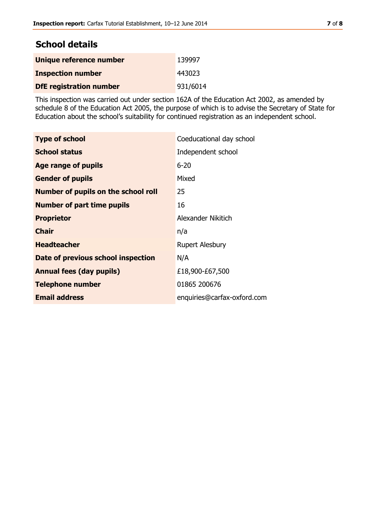## **School details**

| Unique reference number        | 139997   |
|--------------------------------|----------|
| <b>Inspection number</b>       | 443023   |
| <b>DfE</b> registration number | 931/6014 |

This inspection was carried out under section 162A of the Education Act 2002, as amended by schedule 8 of the Education Act 2005, the purpose of which is to advise the Secretary of State for Education about the school's suitability for continued registration as an independent school.

| <b>Type of school</b>                      | Coeducational day school    |
|--------------------------------------------|-----------------------------|
|                                            |                             |
| <b>School status</b>                       | Independent school          |
| Age range of pupils                        | $6 - 20$                    |
| <b>Gender of pupils</b>                    | Mixed                       |
| <b>Number of pupils on the school roll</b> | 25                          |
| <b>Number of part time pupils</b>          | 16                          |
| <b>Proprietor</b>                          | Alexander Nikitich          |
| <b>Chair</b>                               | n/a                         |
| <b>Headteacher</b>                         | <b>Rupert Alesbury</b>      |
| Date of previous school inspection         | N/A                         |
| <b>Annual fees (day pupils)</b>            | £18,900-£67,500             |
| <b>Telephone number</b>                    | 01865 200676                |
| <b>Email address</b>                       | enquiries@carfax-oxford.com |